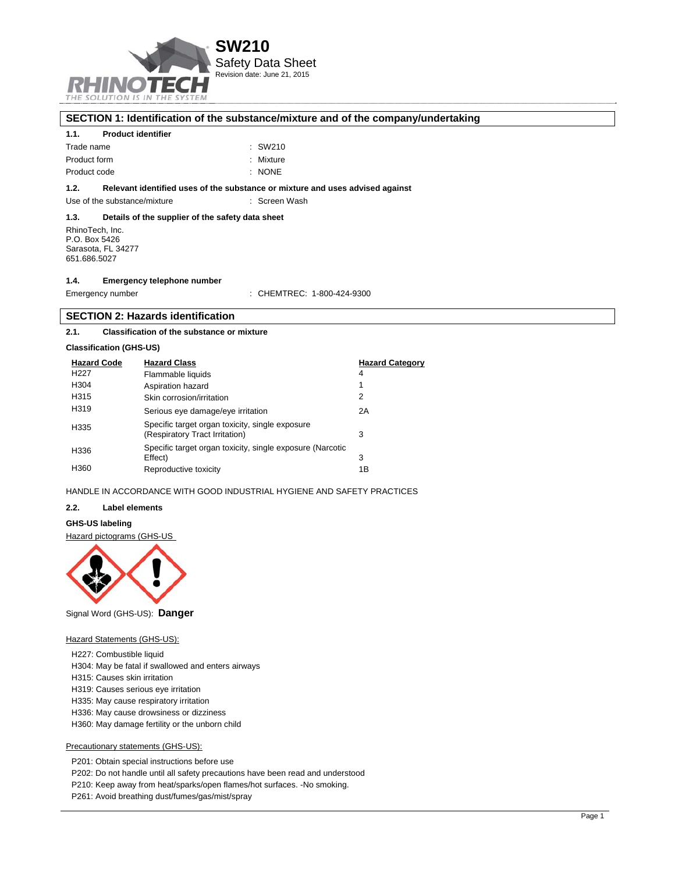

## **SECTION 1: Identification of the substance/mixture and of the company/undertaking**

## **1.1. Product identifier**

| Trade name   | : SW210   |
|--------------|-----------|
| Product form | : Mixture |
| Product code | : NONE    |

## **1.2. Relevant identified uses of the substance or mixture and uses advised against**

Use of the substance/mixture : Screen Wash

## **1.3. Details of the supplier of the safety data sheet**

RhinoTech, Inc. P.O. Box 5426 Sarasota, FL 34277 651.686.5027

#### **1.4. Emergency telephone number**

| Emergency number | : CHEMTREC: 1-800-424-9300 |
|------------------|----------------------------|
|------------------|----------------------------|

## **SECTION 2: Hazards identification**

#### **2.1. Classification of the substance or mixture**

### **Classification (GHS-US)**

| <b>Hazard Code</b> | <b>Hazard Class</b>                                                               | <b>Hazard Category</b> |
|--------------------|-----------------------------------------------------------------------------------|------------------------|
| H <sub>22</sub> 7  | Flammable liquids                                                                 | 4                      |
| H304               | Aspiration hazard                                                                 |                        |
| H315               | Skin corrosion/irritation                                                         | 2                      |
| H319               | Serious eye damage/eye irritation                                                 | 2A                     |
| H335               | Specific target organ toxicity, single exposure<br>(Respiratory Tract Irritation) | 3                      |
| H336               | Specific target organ toxicity, single exposure (Narcotic<br>Effect)              | 3                      |
| H360               | Reproductive toxicity                                                             | 1Β                     |

## HANDLE IN ACCORDANCE WITH GOOD INDUSTRIAL HYGIENE AND SAFETY PRACTICES

#### **2.2. Label elements**

## **GHS-US labeling**

### Hazard pictograms (GHS-US



Signal Word (GHS-US): **Danger**

#### **Hazard Statements (GHS-US):**

- H227: Combustible liquid
- H304: May be fatal if swallowed and enters airways
- H315: Causes skin irritation
- H319: Causes serious eye irritation
- H335: May cause respiratory irritation
- H336: May cause drowsiness or dizziness
- H360: May damage fertility or the unborn child

## Precautionary statements (GHS-US):

P201: Obtain special instructions before use

P202: Do not handle until all safety precautions have been read and understood

P210: Keep away from heat/sparks/open flames/hot surfaces. -No smoking.

P261: Avoid breathing dust/fumes/gas/mist/spray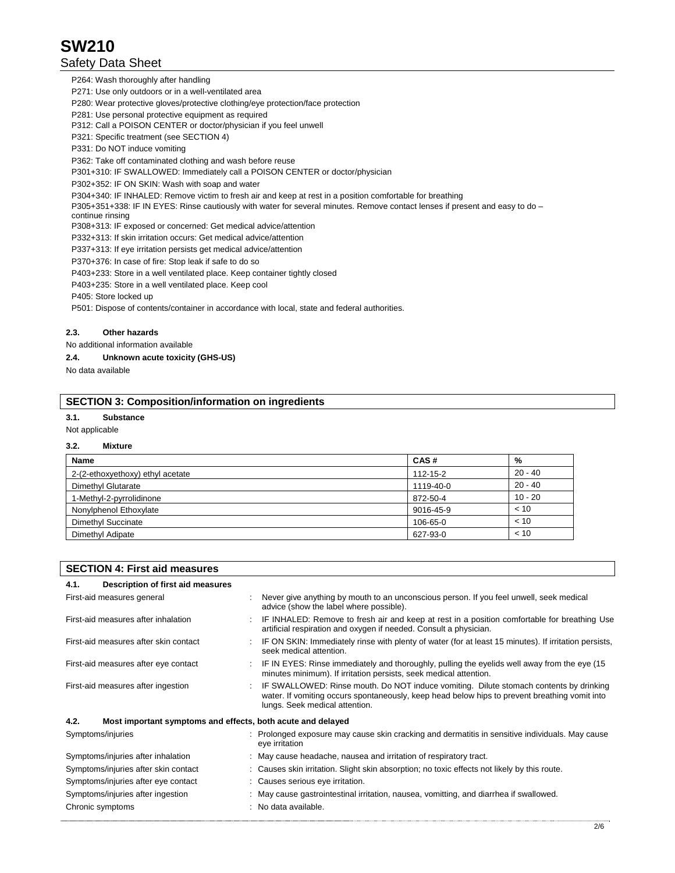## Safety Data Sheet

P264: Wash thoroughly after handling

P271: Use only outdoors or in a well-ventilated area

P280: Wear protective gloves/protective clothing/eye protection/face protection

P281: Use personal protective equipment as required

P312: Call a POISON CENTER or doctor/physician if you feel unwell

P321: Specific treatment (see SECTION 4)

P331: Do NOT induce vomiting

P362: Take off contaminated clothing and wash before reuse

P301+310: IF SWALLOWED: Immediately call a POISON CENTER or doctor/physician

P302+352: IF ON SKIN: Wash with soap and water

P304+340: IF INHALED: Remove victim to fresh air and keep at rest in a position comfortable for breathing

P305+351+338: IF IN EYES: Rinse cautiously with water for several minutes. Remove contact lenses if present and easy to do –

continue rinsing

P308+313: IF exposed or concerned: Get medical advice/attention

P332+313: If skin irritation occurs: Get medical advice/attention

P337+313: If eye irritation persists get medical advice/attention

P370+376: In case of fire: Stop leak if safe to do so

P403+233: Store in a well ventilated place. Keep container tightly closed

P403+235: Store in a well ventilated place. Keep cool

P405: Store locked up

P501: Dispose of contents/container in accordance with local, state and federal authorities.

## **2.3. Other hazards**

#### No additional information available

#### **2.4. Unknown acute toxicity (GHS-US)**

No data available

## **SECTION 3: Composition/information on ingredients**

## **3.1. Substance**

Not applicable

#### **3.2. Mixture**

| <b>Name</b>                      | CAS#      | %         |
|----------------------------------|-----------|-----------|
| 2-(2-ethoxyethoxy) ethyl acetate | 112-15-2  | $20 - 40$ |
| Dimethyl Glutarate               | 1119-40-0 | $20 - 40$ |
| 1-Methyl-2-pyrrolidinone         | 872-50-4  | 10 - 20   |
| Nonylphenol Ethoxylate           | 9016-45-9 | < 10      |
| <b>Dimethyl Succinate</b>        | 106-65-0  | < 10      |
| Dimethyl Adipate                 | 627-93-0  | < 10      |

| <b>SECTION 4: First aid measures</b>                                |  |                                                                                                                                                                                                                           |  |
|---------------------------------------------------------------------|--|---------------------------------------------------------------------------------------------------------------------------------------------------------------------------------------------------------------------------|--|
| Description of first aid measures<br>4.1.                           |  |                                                                                                                                                                                                                           |  |
| First-aid measures general                                          |  | Never give anything by mouth to an unconscious person. If you feel unwell, seek medical<br>advice (show the label where possible).                                                                                        |  |
| First-aid measures after inhalation                                 |  | IF INHALED: Remove to fresh air and keep at rest in a position comfortable for breathing Use<br>artificial respiration and oxygen if needed. Consult a physician.                                                         |  |
| First-aid measures after skin contact                               |  | IF ON SKIN: Immediately rinse with plenty of water (for at least 15 minutes). If irritation persists,<br>seek medical attention.                                                                                          |  |
| First-aid measures after eye contact                                |  | IF IN EYES: Rinse immediately and thoroughly, pulling the eyelids well away from the eye (15<br>minutes minimum). If irritation persists, seek medical attention.                                                         |  |
| First-aid measures after ingestion                                  |  | IF SWALLOWED: Rinse mouth. Do NOT induce vomiting. Dilute stomach contents by drinking<br>water. If vomiting occurs spontaneously, keep head below hips to prevent breathing vomit into<br>lungs. Seek medical attention. |  |
| 4.2.<br>Most important symptoms and effects, both acute and delayed |  |                                                                                                                                                                                                                           |  |
| Symptoms/injuries                                                   |  | : Prolonged exposure may cause skin cracking and dermatitis in sensitive individuals. May cause<br>eye irritation                                                                                                         |  |
| Symptoms/injuries after inhalation                                  |  | : May cause headache, nausea and irritation of respiratory tract.                                                                                                                                                         |  |
| Symptoms/injuries after skin contact                                |  | : Causes skin irritation. Slight skin absorption; no toxic effects not likely by this route.                                                                                                                              |  |
| Symptoms/injuries after eye contact                                 |  | : Causes serious eye irritation.                                                                                                                                                                                          |  |
| Symptoms/injuries after ingestion                                   |  | : May cause gastrointestinal irritation, nausea, vomitting, and diarrhea if swallowed.                                                                                                                                    |  |
| Chronic symptoms                                                    |  | : No data available.                                                                                                                                                                                                      |  |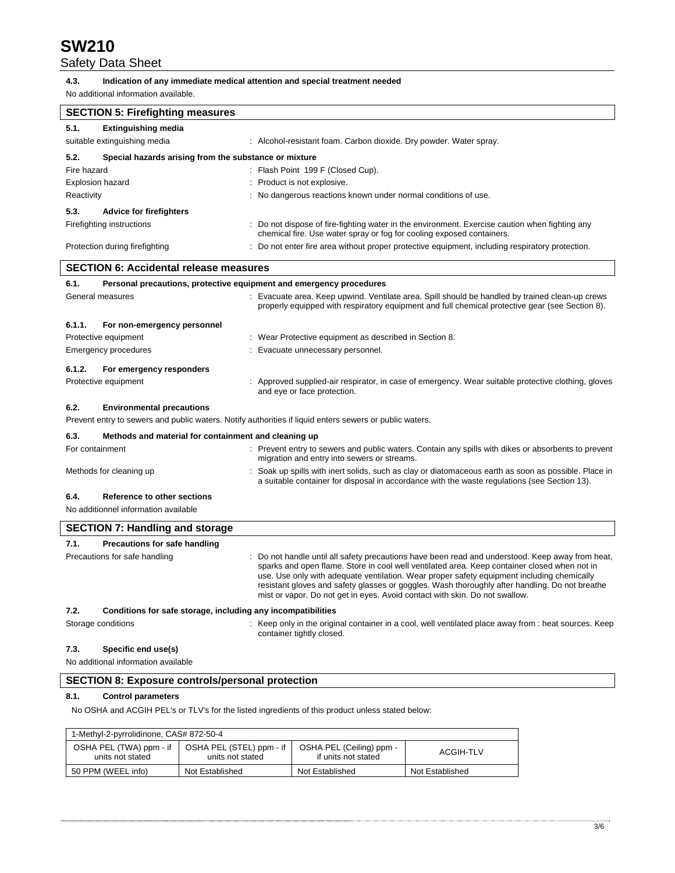## Safety Data Sheet

#### **4.3. Indication of any immediate medical attention and special treatment needed**

No additional information available.

| <b>SECTION 5: Firefighting measures</b>                                     |                                                                                                                                                                                                                                                                                                                                                                                                                                                                                 |
|-----------------------------------------------------------------------------|---------------------------------------------------------------------------------------------------------------------------------------------------------------------------------------------------------------------------------------------------------------------------------------------------------------------------------------------------------------------------------------------------------------------------------------------------------------------------------|
| 5.1.<br><b>Extinguishing media</b>                                          |                                                                                                                                                                                                                                                                                                                                                                                                                                                                                 |
| suitable extinguishing media                                                | : Alcohol-resistant foam. Carbon dioxide. Dry powder. Water spray.                                                                                                                                                                                                                                                                                                                                                                                                              |
| 5.2.<br>Special hazards arising from the substance or mixture               |                                                                                                                                                                                                                                                                                                                                                                                                                                                                                 |
| Fire hazard                                                                 | : Flash Point 199 F (Closed Cup).                                                                                                                                                                                                                                                                                                                                                                                                                                               |
| <b>Explosion hazard</b>                                                     | : Product is not explosive.                                                                                                                                                                                                                                                                                                                                                                                                                                                     |
| Reactivity                                                                  | : No dangerous reactions known under normal conditions of use.                                                                                                                                                                                                                                                                                                                                                                                                                  |
| 5.3.<br><b>Advice for firefighters</b>                                      |                                                                                                                                                                                                                                                                                                                                                                                                                                                                                 |
| Firefighting instructions                                                   | : Do not dispose of fire-fighting water in the environment. Exercise caution when fighting any<br>chemical fire. Use water spray or fog for cooling exposed containers.                                                                                                                                                                                                                                                                                                         |
| Protection during firefighting                                              | : Do not enter fire area without proper protective equipment, including respiratory protection.                                                                                                                                                                                                                                                                                                                                                                                 |
| SECTION 6: Accidental release measures                                      |                                                                                                                                                                                                                                                                                                                                                                                                                                                                                 |
| 6.1.<br>Personal precautions, protective equipment and emergency procedures |                                                                                                                                                                                                                                                                                                                                                                                                                                                                                 |
| General measures                                                            | : Evacuate area. Keep upwind. Ventilate area. Spill should be handled by trained clean-up crews<br>properly equipped with respiratory equipment and full chemical protective gear (see Section 8).                                                                                                                                                                                                                                                                              |
| 6.1.1.<br>For non-emergency personnel                                       |                                                                                                                                                                                                                                                                                                                                                                                                                                                                                 |
| Protective equipment                                                        | : Wear Protective equipment as described in Section 8.                                                                                                                                                                                                                                                                                                                                                                                                                          |
| <b>Emergency procedures</b>                                                 | : Evacuate unnecessary personnel.                                                                                                                                                                                                                                                                                                                                                                                                                                               |
| 6.1.2.<br>For emergency responders                                          |                                                                                                                                                                                                                                                                                                                                                                                                                                                                                 |
| Protective equipment                                                        | : Approved supplied-air respirator, in case of emergency. Wear suitable protective clothing, gloves<br>and eye or face protection.                                                                                                                                                                                                                                                                                                                                              |
| 6.2.<br><b>Environmental precautions</b>                                    |                                                                                                                                                                                                                                                                                                                                                                                                                                                                                 |
|                                                                             | Prevent entry to sewers and public waters. Notify authorities if liquid enters sewers or public waters.                                                                                                                                                                                                                                                                                                                                                                         |
| 6.3.<br>Methods and material for containment and cleaning up                |                                                                                                                                                                                                                                                                                                                                                                                                                                                                                 |
| For containment                                                             | : Prevent entry to sewers and public waters. Contain any spills with dikes or absorbents to prevent<br>migration and entry into sewers or streams.                                                                                                                                                                                                                                                                                                                              |
| Methods for cleaning up                                                     | : Soak up spills with inert solids, such as clay or diatomaceous earth as soon as possible. Place in<br>a suitable container for disposal in accordance with the waste regulations (see Section 13).                                                                                                                                                                                                                                                                            |
| 6.4.<br><b>Reference to other sections</b>                                  |                                                                                                                                                                                                                                                                                                                                                                                                                                                                                 |
| No additionnel information available                                        |                                                                                                                                                                                                                                                                                                                                                                                                                                                                                 |
| <b>SECTION 7: Handling and storage</b>                                      |                                                                                                                                                                                                                                                                                                                                                                                                                                                                                 |
| 7.1.<br>Precautions for safe handling                                       |                                                                                                                                                                                                                                                                                                                                                                                                                                                                                 |
| Precautions for safe handling                                               | : Do not handle until all safety precautions have been read and understood. Keep away from heat,<br>sparks and open flame. Store in cool well ventilated area. Keep container closed when not in<br>use. Use only with adequate ventilation. Wear proper safety equipment including chemically<br>resistant gloves and safety glasses or goggles. Wash thoroughly after handling. Do not breathe<br>mist or vapor. Do not get in eyes. Avoid contact with skin. Do not swallow. |
| 7.2.<br>Conditions for safe storage, including any incompatibilities        |                                                                                                                                                                                                                                                                                                                                                                                                                                                                                 |
| Storage conditions                                                          | : Keep only in the original container in a cool, well ventilated place away from : heat sources. Keep<br>container tightly closed.                                                                                                                                                                                                                                                                                                                                              |
| 7.3.<br>Specific end use(s)<br>No additional information available          |                                                                                                                                                                                                                                                                                                                                                                                                                                                                                 |

# **SECTION 8: Exposure controls/personal protection**

## **8.1. Control parameters**

No OSHA and ACGIH PEL's or TLV's for the listed ingredients of this product unless stated below:

| 1-Methyl-2-pyrrolidinone, CAS# 872-50-4     |                                              |                                                 |                 |  |  |  |
|---------------------------------------------|----------------------------------------------|-------------------------------------------------|-----------------|--|--|--|
| OSHA PEL (TWA) ppm - if<br>units not stated | OSHA PEL (STEL) ppm - if<br>units not stated | OSHA PEL (Ceiling) ppm -<br>if units not stated | ACGIH-TLV       |  |  |  |
| 50 PPM (WEEL info)                          | Not Established                              | Not Established                                 | Not Established |  |  |  |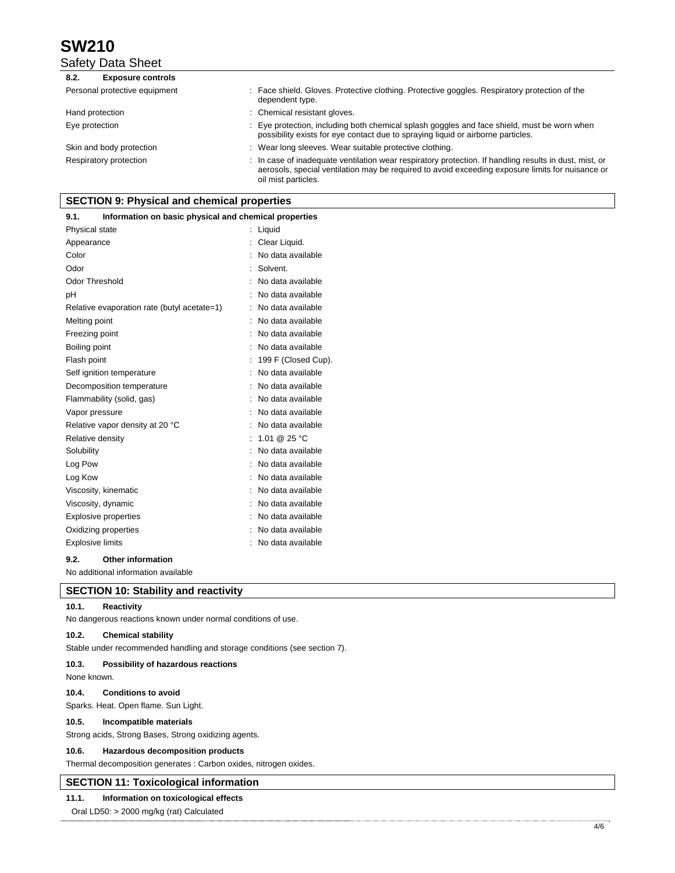## Safety Data Sheet

| 8.2.<br><b>Exposure controls</b> |                                                                                                                                                                                                                                   |
|----------------------------------|-----------------------------------------------------------------------------------------------------------------------------------------------------------------------------------------------------------------------------------|
| Personal protective equipment    | : Face shield. Gloves. Protective clothing. Protective goggles. Respiratory protection of the<br>dependent type.                                                                                                                  |
| Hand protection                  | : Chemical resistant gloves.                                                                                                                                                                                                      |
| Eye protection                   | : Eye protection, including both chemical splash goggles and face shield, must be worn when<br>possibility exists for eye contact due to spraying liquid or airborne particles.                                                   |
| Skin and body protection         | : Wear long sleeves. Wear suitable protective clothing.                                                                                                                                                                           |
| Respiratory protection           | : In case of inadequate ventilation wear respiratory protection. If handling results in dust, mist, or<br>aerosols, special ventilation may be required to avoid exceeding exposure limits for nuisance or<br>oil mist particles. |

## **SECTION 9: Physical and chemical properties**

## **9.1. Information on basic physical and chemical properties**

| Appearance                                  | Clear Liquid.       |
|---------------------------------------------|---------------------|
|                                             |                     |
| Color                                       | No data available   |
| Odor                                        | Solvent.            |
| <b>Odor Threshold</b>                       | No data available   |
| рH                                          | No data available   |
| Relative evaporation rate (butyl acetate=1) | No data available   |
| Melting point                               | No data available   |
| Freezing point                              | No data available   |
| Boiling point                               | No data available   |
| Flash point                                 | 199 F (Closed Cup). |
| Self ignition temperature                   | No data available   |
| Decomposition temperature                   | No data available   |
| Flammability (solid, gas)                   | No data available   |
| Vapor pressure                              | No data available   |
| Relative vapor density at 20 °C             | No data available   |
| Relative density                            | 1.01 @ 25 °C        |
| Solubility                                  | No data available   |
| Log Pow                                     | No data available   |
| Log Kow                                     | No data available   |
| Viscosity, kinematic                        | No data available   |
| Viscosity, dynamic                          | No data available   |
| <b>Explosive properties</b>                 | No data available   |
| Oxidizing properties                        | No data available   |
| Explosive limits                            | No data available   |

## **9.2. Other information**

No additional information available

## **SECTION 10: Stability and reactivity**

## **10.1. Reactivity**

No dangerous reactions known under normal conditions of use.

## **10.2. Chemical stability**

Stable under recommended handling and storage conditions (see section 7).

#### **10.3. Possibility of hazardous reactions**

None known.

## **10.4. Conditions to avoid**

Sparks. Heat. Open flame. Sun Light.

#### **10.5. Incompatible materials**

Strong acids, Strong Bases, Strong oxidizing agents.

### **10.6. Hazardous decomposition products**

Thermal decomposition generates : Carbon oxides, nitrogen oxides.

## **SECTION 11: Toxicological information**

## **11.1. Information on toxicological effects**

Oral LD50: > 2000 mg/kg (rat) Calculated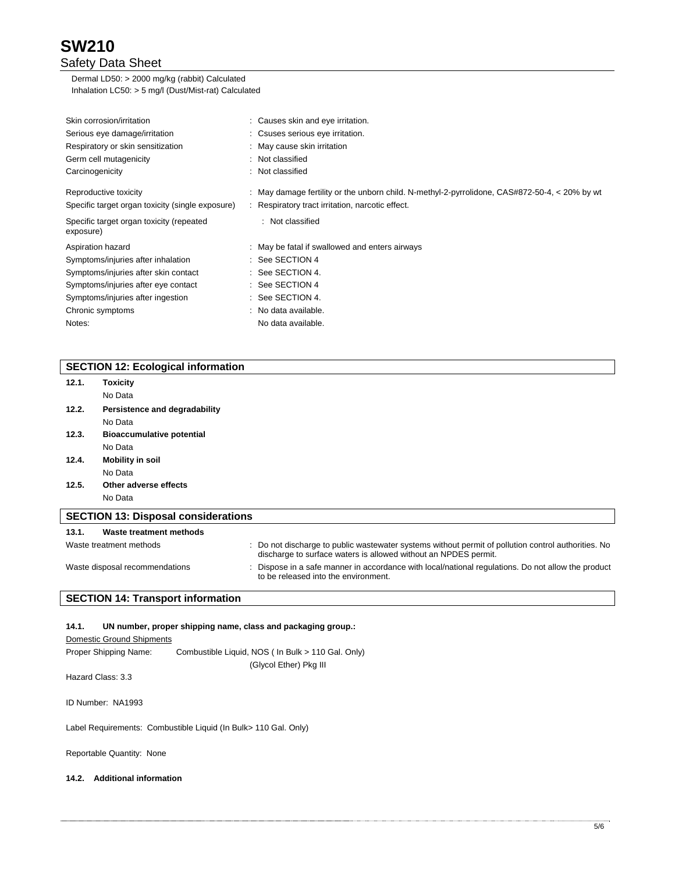## Safety Data Sheet

Dermal LD50: > 2000 mg/kg (rabbit) Calculated Inhalation LC50: > 5 mg/l (Dust/Mist-rat) Calculated

| Skin corrosion/irritation                             | : Causes skin and eye irritation.                                                             |
|-------------------------------------------------------|-----------------------------------------------------------------------------------------------|
| Serious eye damage/irritation                         | : Csuses serious eye irritation.                                                              |
| Respiratory or skin sensitization                     | : May cause skin irritation                                                                   |
| Germ cell mutagenicity                                | : Not classified                                                                              |
| Carcinogenicity                                       | : Not classified                                                                              |
| Reproductive toxicity                                 | : May damage fertility or the unborn child. N-methyl-2-pyrrolidone, CAS#872-50-4, < 20% by wt |
| Specific target organ toxicity (single exposure)      | : Respiratory tract irritation, narcotic effect.                                              |
| Specific target organ toxicity (repeated<br>exposure) | : Not classified                                                                              |
| Aspiration hazard                                     | : May be fatal if swallowed and enters airways                                                |
| Symptoms/injuries after inhalation                    | $:$ See SECTION 4                                                                             |
| Symptoms/injuries after skin contact                  | $:$ See SECTION 4.                                                                            |
| Symptoms/injuries after eye contact                   | $:$ See SECTION 4                                                                             |
| Symptoms/injuries after ingestion                     | $:$ See SECTION 4.                                                                            |
| Chronic symptoms                                      | : No data available.                                                                          |
| Notes:                                                | No data available.                                                                            |

## **SECTION 12: Ecological information**

| 12.1. | Toxicity                                   |                                                                                                                                                                        |
|-------|--------------------------------------------|------------------------------------------------------------------------------------------------------------------------------------------------------------------------|
|       | No Data                                    |                                                                                                                                                                        |
| 12.2. | Persistence and degradability              |                                                                                                                                                                        |
|       | No Data                                    |                                                                                                                                                                        |
| 12.3. | <b>Bioaccumulative potential</b>           |                                                                                                                                                                        |
|       | No Data                                    |                                                                                                                                                                        |
| 12.4. | <b>Mobility in soil</b>                    |                                                                                                                                                                        |
|       | No Data                                    |                                                                                                                                                                        |
| 12.5. | Other adverse effects                      |                                                                                                                                                                        |
|       | No Data                                    |                                                                                                                                                                        |
|       | <b>SECTION 13: Disposal considerations</b> |                                                                                                                                                                        |
| 13.1. | Waste treatment methods                    |                                                                                                                                                                        |
|       | Waste treatment methods                    | : Do not discharge to public wastewater systems without permit of pollution control authorities. No<br>discharge to surface waters is allowed without an NPDES permit. |
|       | Waste disposal recommendations             | Dispose in a safe manner in accordance with local/national regulations. Do not allow the product<br>to be released into the environment.                               |

## **SECTION 14: Transport information**

## **14.1. UN number, proper shipping name, class and packaging group.:**

Domestic Ground Shipments

Proper Shipping Name: Combustible Liquid, NOS ( In Bulk > 110 Gal. Only) (Glycol Ether) Pkg III

Hazard Class: 3.3

ID Number: NA1993

Label Requirements: Combustible Liquid (In Bulk> 110 Gal. Only)

Reportable Quantity: None

## **14.2. Additional information**